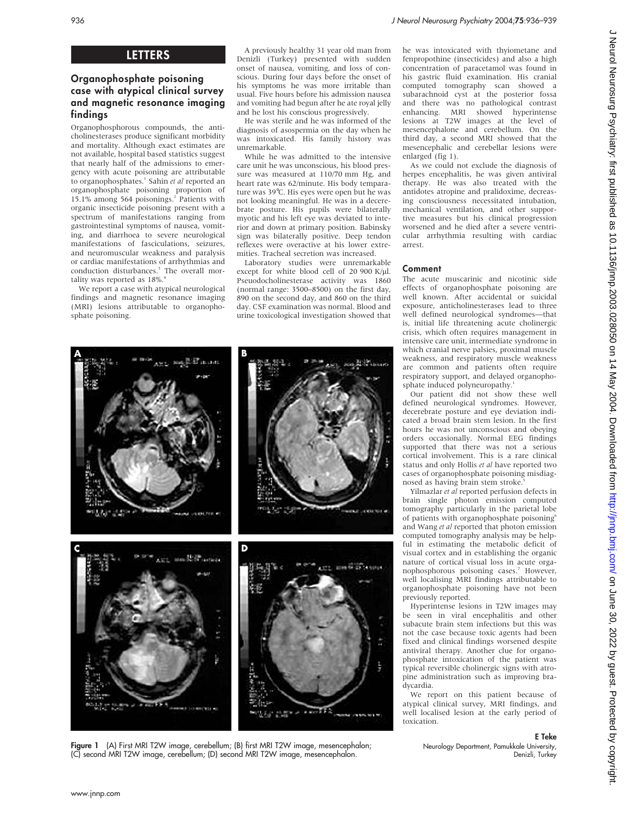# **LETTERS**

# Organophosphate poisoning case with atypical clinical survey and magnetic resonance imaging findings

Organophosphorous compounds, the anticholinesterases produce significant morbidity and mortality. Although exact estimates are not available, hospital based statistics suggest that nearly half of the admissions to emergency with acute poisoning are attributable to organophosphates.<sup>1</sup> Sahin et al reported an organophosphate poisoning proportion of 15.1% among 564 poisonings.2 Patients with organic insecticide poisoning present with a spectrum of manifestations ranging from gastrointestinal symptoms of nausea, vomiting, and diarrhoea to severe neurological manifestations of fasciculations, seizures, and neuromuscular weakness and paralysis or cardiac manifestations of arrhythmias and conduction disturbances.<sup>3</sup> The overall mortality was reported as 18%.4

We report a case with atypical neurological findings and magnetic resonance imaging (MRI) lesions attributable to organophosphate poisoning.

A previously healthy 31 year old man from Denizli (Turkey) presented with sudden onset of nausea, vomiting, and loss of conscious. During four days before the onset of his symptoms he was more irritable than usual. Five hours before his admission nausea and vomiting had begun after he ate royal jelly and he lost his conscious progressively.

He was sterile and he was informed of the diagnosis of asospermia on the day when he was intoxicated. His family history was unremarkable.

While he was admitted to the intensive care unit he was unconscious, his blood pressure was measured at 110/70 mm Hg, and heart rate was 62/minute. His body temparature was 39°C. His eyes were open but he was not looking meaningful. He was in a decerebrate posture. His pupils were bilaterally myotic and his left eye was deviated to interior and down at primary position. Babinsky sign was bilaterally positive. Deep tendon reflexes were overactive at his lower extremities. Tracheal secretion was increased.

Laboratory studies were unremarkable except for white blood cell of 20 900 K/ $\mu$ l. Pseuodocholinesterase activity was 1860 (normal range: 3500–8500) on the first day, 890 on the second day, and 860 on the third day. CSF examination was normal. Blood and urine toxicological investigation showed that



Figure 1 (A) First MRI T2W image, cerebellum; (B) first MRI T2W image, mesencephalon; (C) second MRI T2W image, cerebellum; (D) second MRI T2W image, mesencephalon.

he was intoxicated with thyiometane and fenpropothine (insecticides) and also a high concentration of paracetamol was found in his gastric fluid examination. His cranial computed tomography scan showed a subarachnoid cyst at the posterior fossa and there was no pathological contrast enhancing. MRI showed hyperintense lesions at T2W images at the level of mesencephalone and cerebellum. On the third day, a second MRI showed that the mesencephalic and cerebellar lesions were enlarged (fig 1).

As we could not exclude the diagnosis of herpes encephalitis, he was given antiviral therapy. He was also treated with the antidotes atropine and pralidoxime, decreasing consciousness necessitated intubation, mechanical ventilation, and other supportive measures but his clinical progression worsened and he died after a severe ventricular arrhythmia resulting with cardiac arrest.

# Comment

The acute muscarinic and nicotinic side effects of organophosphate poisoning are well known. After accidental or suicidal exposure, anticholinesterases lead to three well defined neurological syndromes—that is, initial life threatening acute cholinergic crisis, which often requires management in intensive care unit, intermediate syndrome in which cranial nerve palsies, proximal muscle weakness, and respiratory muscle weakness are common and patients often require respiratory support, and delayed organophosphate induced polyneuropathy.<sup>1</sup>

Our patient did not show these well defined neurological syndromes. However, decerebrate posture and eye deviation indicated a broad brain stem lesion. In the first hours he was not unconscious and obeying orders occasionally. Normal EEG findings supported that there was not a serious cortical involvement. This is a rare clinical status and only Hollis et al have reported two cases of organophosphate poisoning misdiagnosed as having brain stem stroke.

Yilmazlar et al reported perfusion defects in brain single photon emission computed tomography particularly in the parietal lobe of patients with organophosphate poisoning<sup>6</sup> and Wang et al reported that photon emission computed tomography analysis may be helpful in estimating the metabolic deficit of visual cortex and in establishing the organic nature of cortical visual loss in acute organophosphorous poisoning cases.<sup>7</sup> However, well localising MRI findings attributable to organophosphate poisoning have not been previously reported.

Hyperintense lesions in T2W images may be seen in viral encephalitis and other subacute brain stem infections but this was not the case because toxic agents had been fixed and clinical findings worsened despite antiviral therapy. Another clue for organophosphate intoxication of the patient was typical reversible cholinergic signs with atropine administration such as improving bradycardia.

We report on this patient because of atypical clinical survey, MRI findings, and well localised lesion at the early period of toxication.

Neurology Department, Pamukkale University,

E Teke

Denizli, Turkey

# J Neurol Neurosurg Psychiatry: first published as 10.11136/jnnp.2003.028050.0n 14 May 2004. Downloaded from http://jnnp.bmj.com/ on June 30, 2022 by guest. Protected by copyright J Neurol Neurosurg Psychiatry: first published as 10.1136/jnnp.2003.028050.004. Downloaded from <http://jnnp.bmj.com/> June 30, 2022 by guest. Protected by copyright.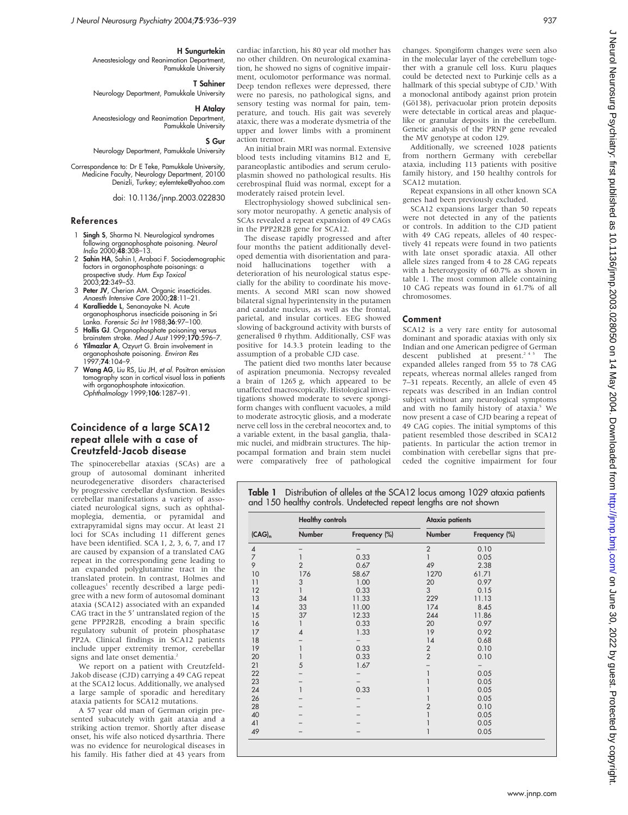### H Sungurtekin

Aneastesiology and Reanimation Department, Pamukkale University

T Sahiner

Neurology Department, Pamukkale University

H Atalay

Aneastesiology and Reanimation Department, Pamukkale University

# S Gur

Neurology Department, Pamukkale University

Correspondence to: Dr E Teke, Pamukkale University, Medicine Faculty, Neurology Department, 20100 Denizli, Turkey; eylemteke@yahoo.com

doi: 10.1136/jnnp.2003.022830

### References

- 1 Singh S, Sharma N. Neurological syndromes tollowing organophosphate poisoning. Neurol<br>*India* 2000;**48**:308–13.
- 2 Sahin HA, Sahin I, Arabaci F. Sociodemographic tactors in organophosphate poisonings: a<br>prospective study. *Hum Exp Toxicol*<br>2003;**22**:349–53.
- 3 Peter JV, Cherian AM. Organic insecticides. Anaesth Intensive Care 2000;28:11-21.
- 4 Karalliedde L, Senanayake N. Acute organophosphorus insecticide poisoning in Sri Lanka. Forensic Sci Int 1988;36:97-100.
- 5 Hollis GJ. Organophosphate poisoning versus brainstem stroke. Med J Aust 1999:170:596-7.
- 6 Yilmazlar A, Ozyurt G. Brain involvement in organophoshate poisoning. Environ Res 1997;74:104–9.
- Wang AG, Liu RS, Liu JH, et al. Positron emission tomography scan in cortical visual loss in patients with organophosphate intoxication. Ophthalmology 1999;106:1287–91.

# Coincidence of a large SCA12 repeat allele with a case of Creutzfeld-Jacob disease

The spinocerebellar ataxias (SCAs) are a group of autosomal dominant inherited neurodegenerative disorders characterised by progressive cerebellar dysfunction. Besides cerebellar manifestations a variety of associated neurological signs, such as ophthalmoplegia, dementia, or pyramidal and extrapyramidal signs may occur. At least 21 loci for SCAs including 11 different genes have been identified. SCA 1, 2, 3, 6, 7, and 17 are caused by expansion of a translated CAG repeat in the corresponding gene leading to an expanded polyglutamine tract in the translated protein. In contrast, Holmes and colleagues<sup>1</sup> recently described a large pedigree with a new form of autosomal dominant ataxia (SCA12) associated with an expanded CAG tract in the 5' untranslated region of the gene PPP2R2B, encoding a brain specific regulatory subunit of protein phosphatase PP2A. Clinical findings in SCA12 patients include upper extremity tremor, cerebellar signs and late onset dementia.<sup>2</sup>

We report on a patient with Creutzfeld-Jakob disease (CJD) carrying a 49 CAG repeat at the SCA12 locus. Additionally, we analysed a large sample of sporadic and hereditary ataxia patients for SCA12 mutations.

A 57 year old man of German origin presented subacutely with gait ataxia and a striking action tremor. Shortly after disease onset, his wife also noticed dysarthria. There was no evidence for neurological diseases in his family. His father died at 43 years from cardiac infarction, his 80 year old mother has no other children. On neurological examination, he showed no signs of cognitive impairment, oculomotor performance was normal. Deep tendon reflexes were depressed, there were no paresis, no pathological signs, and sensory testing was normal for pain, temperature, and touch. His gait was severely ataxic, there was a moderate dysmetria of the upper and lower limbs with a prominent action tremor.

An initial brain MRI was normal. Extensive blood tests including vitamins B12 and E, paraneoplastic antibodies and serum ceruloplasmin showed no pathological results. His cerebrospinal fluid was normal, except for a moderately raised protein level.

Electrophysiology showed subclinical sensory motor neuropathy. A genetic analysis of SCAs revealed a repeat expansion of 49 CAGs in the PPP2R2B gene for SCA12.

The disease rapidly progressed and after four months the patient additionally developed dementia with disorientation and paranoid hallucinations together with a deterioration of his neurological status especially for the ability to coordinate his movements. A second MRI scan now showed bilateral signal hyperintensity in the putamen and caudate nucleus, as well as the frontal, parietal, and insular cortices. EEG showed slowing of background activity with bursts of generalised  $\theta$  rhythm. Additionally, CSF was positive for 14.3.3 protein leading to the assumption of a probable CJD case.

The patient died two months later because of aspiration pneumonia. Necropsy revealed a brain of 1265 g, which appeared to be unaffected macroscopically. Histological investigations showed moderate to severe spongiform changes with confluent vacuoles, a mild to moderate astrocytic gliosis, and a moderate nerve cell loss in the cerebral neocortex and, to a variable extent, in the basal ganglia, thalamic nuclei, and midbrain structures. The hippocampal formation and brain stem nuclei were comparatively free of pathological

changes. Spongiform changes were seen also in the molecular layer of the cerebellum together with a granule cell loss. Kuru plaques could be detected next to Purkinje cells as a hallmark of this special subtype of  $L$  CJD.<sup>3</sup> With a monoclonal antibody against prion protein (Gö138), perivacuolar prion protein deposits were detectable in cortical areas and plaquelike or granular deposits in the cerebellum. Genetic analysis of the PRNP gene revealed the MV genotype at codon 129.

Additionally, we screened 1028 patients from northern Germany with cerebellar ataxia, including 113 patients with positive family history, and 150 healthy controls for SCA12 mutation.

Repeat expansions in all other known SCA genes had been previously excluded.

SCA12 expansions larger than 50 repeats were not detected in any of the patients or controls. In addition to the CJD patient with 49 CAG repeats, alleles of 40 respectively 41 repeats were found in two patients with late onset sporadic ataxia. All other allele sizes ranged from 4 to 28 CAG repeats with a heterozygosity of 60.7% as shown in table 1. The most common allele containing 10 CAG repeats was found in 61.7% of all chromosomes.

### Comment

SCA12 is a very rare entity for autosomal dominant and sporadic ataxias with only six Indian and one American pedigree of German descent published at present.<sup>245</sup> The expanded alleles ranged from 55 to 78 CAG repeats, whereas normal alleles ranged from 7–31 repeats. Recently, an allele of even 45 repeats was described in an Indian control subject without any neurological symptoms and with no family history of ataxia.<sup>5</sup> We now present a case of CJD bearing a repeat of 49 CAG copies. The initial symptoms of this patient resembled those described in SCA12 patients. In particular the action tremor in combination with cerebellar signs that preceded the cognitive impairment for four

Table 1 Distribution of alleles at the SCA12 locus among 1029 ataxia patients and 150 healthy controls. Undetected repeat lengths are not shown

|                | <b>Healthy controls</b> |               | Ataxia patients |               |
|----------------|-------------------------|---------------|-----------------|---------------|
| $(CAG)_{n}$    | Number                  | Frequency (%) | Number          | Frequency (%) |
| $\overline{4}$ |                         |               | $\overline{2}$  | 0.10          |
| $\overline{7}$ |                         | 0.33          |                 | 0.05          |
| 9              | $\overline{2}$          | 0.67          | 49              | 2.38          |
| 10             | 176                     | 58.67         | 1270            | 61.71         |
| 11             | 3                       | 1.00          | 20              | 0.97          |
| 12             | 1                       | 0.33          | 3               | 0.15          |
| 13             | 34                      | 11.33         | 229             | 11.13         |
| 14             | 33                      | 11.00         | 174             | 8.45          |
| 15             | 37                      | 12.33         | 244             | 11.86         |
| 16             | 1                       | 0.33          | 20              | 0.97          |
| 17             | 4                       | 1.33          | 19              | 0.92          |
| 18             |                         |               | 14              | 0.68          |
| 19             |                         | 0.33          | $\overline{2}$  | 0.10          |
| 20             |                         | 0.33          | $\overline{2}$  | 0.10          |
| 21             | 5                       | 1.67          |                 |               |
| 22             |                         |               |                 | 0.05          |
| 23             |                         |               |                 | 0.05          |
| 24             |                         | 0.33          |                 | 0.05          |
| 26             |                         |               |                 | 0.05          |
| 28             |                         |               | 2               | 0.10          |
| 40             |                         |               |                 | 0.05          |
| 41             |                         |               |                 | 0.05          |
| 49             |                         |               |                 | 0.05          |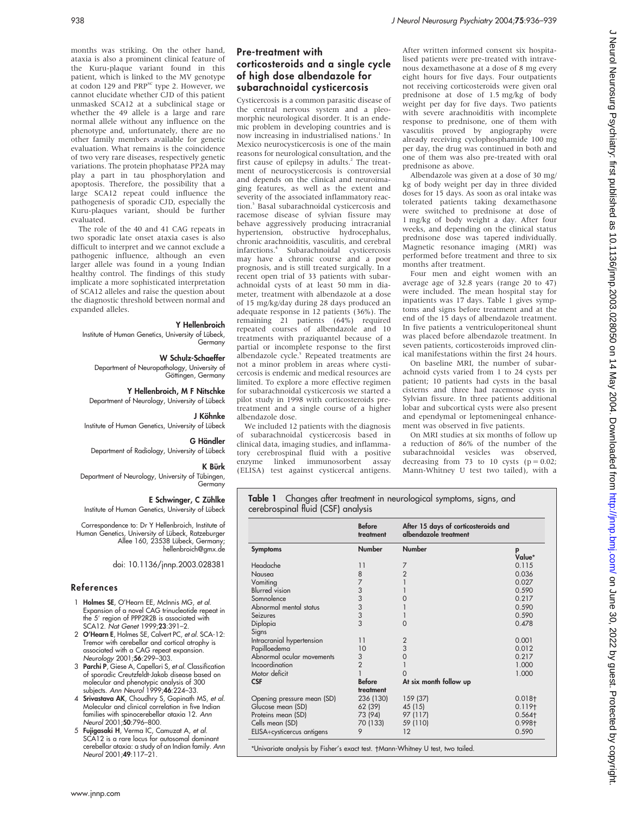months was striking. On the other hand, ataxia is also a prominent clinical feature of the Kuru-plaque variant found in this patient, which is linked to the MV genotype at codon 129 and PRP<sup>sc</sup> type 2. However, we cannot elucidate whether CJD of this patient unmasked SCA12 at a subclinical stage or whether the 49 allele is a large and rare normal allele without any influence on the phenotype and, unfortunately, there are no other family members available for genetic evaluation. What remains is the coincidence of two very rare diseases, respectively genetic variations. The protein phophatase PP2A may play a part in tau phosphorylation and apoptosis. Therefore, the possibility that a large SCA12 repeat could influence the pathogenesis of sporadic CJD, especially the Kuru-plaques variant, should be further evaluated.

The role of the 40 and 41 CAG repeats in two sporadic late onset ataxia cases is also difficult to interpret and we cannot exclude a pathogenic influence, although an even larger allele was found in a young Indian healthy control. The findings of this study implicate a more sophisticated interpretation of SCA12 alleles and raise the question about the diagnostic threshold between normal and expanded alleles.

# Y Hellenbroich

Institute of Human Genetics, University of Lübeck, Germany

### W Schulz-Schaeffer

Department of Neuropathology, University of Göttingen, Germany

Y Hellenbroich, M F Nitschke

Department of Neurology, University of Lübeck

# J Köhnke

Institute of Human Genetics, University of Lübeck

# G Händler

Department of Radiology, University of Lübeck

K Bürk Department of Neurology, University of Tübingen, Germany

### E Schwinger, C Zühlke

Institute of Human Genetics, University of Lübeck

Correspondence to: Dr Y Hellenbroich, Institute of Human Genetics, University of Lübeck, Ratzeburger<br>Allee 160, 23538 Lübeck, Germany; hellenbroich@gmx.de

doi: 10.1136/jnnp.2003.028381

# References

- 1 Holmes SE, O'Hearn EE, McInnis MG, et al. Expansion of a novel CAG trinucleotide repeat in the 5' region of PPP2R2B is associated with SCA12. Nat Genet 1999;23:391–2.
- 2 O'Hearn E, Holmes SE, Calvert PC, et al. SCA-12: Tremor with cerebellar and cortical atrophy is associated with a CAG repeat expansion. Neurology 2001;56:299–303.
- 3 Parchi P, Giese A, Capellari S, et al. Classification of sporadic Creutzfeldt-Jakob disease based on molecular and phenotypic analysis of 300 subjects. Ann Neurol 1999;46:224–33.
- 4 Srivastava AK, Choudhry S, Gopinath MS, et al. Molecular and clinical correlation in five Indian families with spinocerebellar ataxia 12. Ann Neurol 2001;50:796–800.
- 5 Fujigasaki H, Verma IC, Camuzat A, et al.  $\tilde{\mathsf{A}}$ 12 is a rare locus for autosomal dominant cerebellar ataxia: a study of an Indian family. Ann Neurol 2001;49:117–21.

# Pre-treatment with corticosteroids and a single cycle of high dose albendazole for subarachnoidal cysticercosis

Cysticercosis is a common parasitic disease of the central nervous system and a pleomorphic neurological disorder. It is an endemic problem in developing countries and is now increasing in industrialised nations.<sup>1</sup> In Mexico neurocysticercosis is one of the main reasons for neurological consultation, and the first cause of epilepsy in adults.<sup>2</sup> The treatment of neurocysticercosis is controversial and depends on the clinical and neuroimaging features, as well as the extent and severity of the associated inflammatory reaction.3 Basal subarachnoidal cysticercosis and racemose disease of sylvian fissure may behave aggressively producing intracranial hypertension, obstructive hydrocephalus, chronic arachnoiditis, vasculitis, and cerebral infarctions.4 Subarachnoidal cysticercosis may have a chronic course and a poor prognosis, and is still treated surgically. In a recent open trial of 33 patients with subarachnoidal cysts of at least 50 mm in diameter, treatment with albendazole at a dose of 15 mg/kg/day during 28 days produced an adequate response in 12 patients (36%). The remaining 21 patients (64%) required repeated courses of albendazole and 10 treatments with praziquantel because of a partial or incomplete response to the first albendazole cycle.<sup>5</sup> Repeated treatments are not a minor problem in areas where cysticercosis is endemic and medical resources are limited. To explore a more effective regimen for subarachnoidal cysticercosis we started a pilot study in 1998 with corticosteroids pretreatment and a single course of a higher albendazole dose.

We included 12 patients with the diagnosis of subarachnoidal cysticercosis based in clinical data, imaging studies, and inflammatory cerebrospinal fluid with a positive enzyme linked immunosorbent (ELISA) test against cysticercal antigens.

After written informed consent six hospitalised patients were pre-treated with intravenous dexamethasone at a dose of 8 mg every eight hours for five days. Four outpatients not receiving corticosteroids were given oral prednisone at dose of 1.5 mg/kg of body weight per day for five days. Two patients with severe arachnoiditis with incomplete response to prednisone, one of them with vasculitis proved by angiography were already receiving cyclophosphamide 100 mg per day, the drug was continued in both and one of them was also pre-treated with oral prednisone as above.

Albendazole was given at a dose of 30 mg/ kg of body weight per day in three divided doses for 15 days. As soon as oral intake was tolerated patients taking dexamethasone were switched to prednisone at dose of 1 mg/kg of body weight a day. After four weeks, and depending on the clinical status prednisone dose was tapered individually. Magnetic resonance imaging (MRI) was performed before treatment and three to six months after treatment.

Four men and eight women with an average age of 32.8 years (range 20 to 47) were included. The mean hospital stay for inpatients was 17 days. Table 1 gives symptoms and signs before treatment and at the end of the 15 days of albendazole treatment. In five patients a ventriculoperitoneal shunt was placed before albendazole treatment. In seven patients, corticosteroids improved clinical manifestations within the first 24 hours.

On baseline MRI, the number of subarachnoid cysts varied from 1 to 24 cysts per patient; 10 patients had cysts in the basal cisterns and three had racemose cysts in Sylvian fissure. In three patients additional lobar and subcortical cysts were also present and ependymal or leptomeningeal enhancement was observed in five patients.

On MRI studies at six months of follow up a reduction of 86% of the number of the subarachnoidal vesicles was observed, decreasing from 73 to 10 cysts ( $p = 0.02$ ; Mann-Whitney U test two tailed), with a

Table 1 Changes after treatment in neurological symptoms, signs, and cerebrospinal fluid (CSF) analysis

|                            | <b>Before</b><br>treatment                   | After 15 days of corticosteroids and<br>albendazole treatment |                    |
|----------------------------|----------------------------------------------|---------------------------------------------------------------|--------------------|
| <b>Symptoms</b>            | <b>Number</b>                                | Number                                                        | p                  |
|                            |                                              |                                                               | Value*             |
| Headache                   | 11                                           | 7                                                             | 0.115              |
| Nausea                     | $\begin{array}{c} 8 \\ 7 \end{array}$        | $\overline{2}$                                                | 0.036              |
| Vomiting                   |                                              |                                                               | 0.027              |
| <b>Blurred</b> vision      |                                              |                                                               | 0.590              |
| Somnolence                 |                                              |                                                               | 0.217              |
| Abnormal mental status     |                                              |                                                               | 0.590              |
| Seizures                   | $\begin{array}{c}\n3 \\ 3 \\ 3\n\end{array}$ |                                                               | 0.590              |
| Diplopia                   |                                              | Ω                                                             | 0.478              |
| Signs                      |                                              |                                                               |                    |
| Intracranial hypertension  | 11                                           | $\overline{2}$                                                | 0.001              |
| Papilloedema               | 10                                           | 3                                                             | 0.012              |
| Abnormal ocular movements  | 3                                            | 0                                                             | 0.217              |
| Incoordination             | $\overline{2}$                               |                                                               | 1.000              |
| Motor deficit              |                                              |                                                               | 1.000              |
| <b>CSF</b>                 | <b>Before</b>                                | At six month follow up                                        |                    |
|                            | treatment                                    |                                                               |                    |
| Opening pressure mean (SD) | 236 (130)                                    | 159 (37)                                                      | $0.018 +$          |
| Glucose mean (SD)          | 62 (39)                                      | 45 (15)                                                       | 0.119 <sub>†</sub> |
| Proteins mean (SD)         | 73 (94)                                      | 97 (117)                                                      | $0.564 +$          |
| Cells mean (SD)            | 70 (133)                                     | 59 (110)                                                      | 0.998+             |
| ELISA+cysticercus antigens | 9                                            | 12                                                            | 0.590              |
|                            |                                              |                                                               |                    |

\*Univariate analysis by Fisher's exact test. Mann-Whitney U test, two tailed.